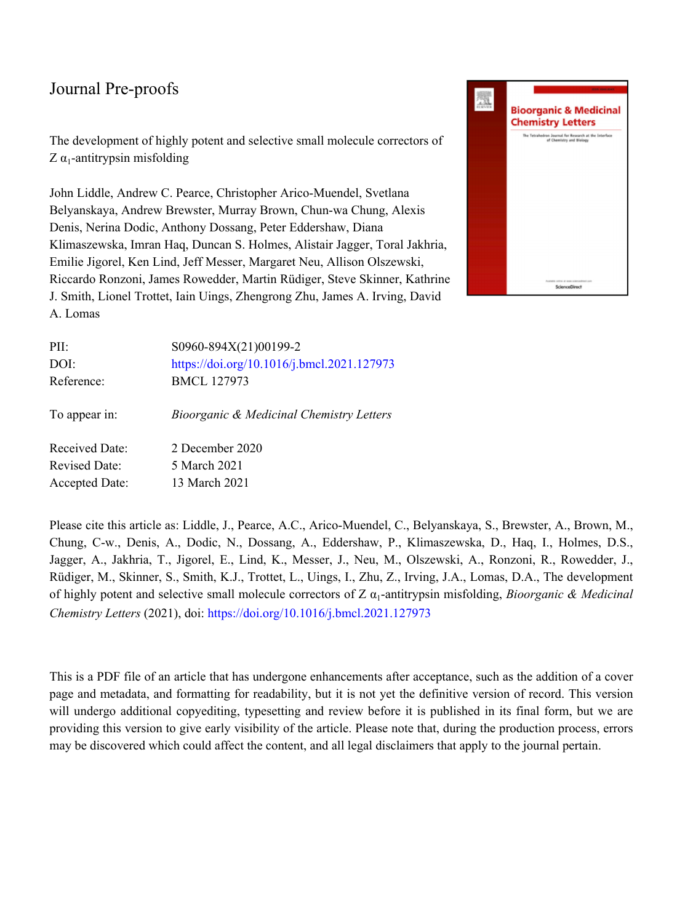The development of highly potent and selective small molecule correctors of  $Z\alpha_1$ -antitrypsin misfolding

John Liddle, Andrew C. Pearce, Christopher Arico-Muendel, Svetlana Belyanskaya, Andrew Brewster, Murray Brown, Chun-wa Chung, Alexis Denis, Nerina Dodic, Anthony Dossang, Peter Eddershaw, Diana Klimaszewska, Imran Haq, Duncan S. Holmes, Alistair Jagger, Toral Jakhria, Emilie Jigorel, Ken Lind, Jeff Messer, Margaret Neu, Allison Olszewski, Riccardo Ronzoni, James Rowedder, Martin Rüdiger, Steve Skinner, Kathrine J. Smith, Lionel Trottet, Iain Uings, Zhengrong Zhu, James A. Irving, David A. Lomas



| PII:                  | S0960-894X(21)00199-2                      |
|-----------------------|--------------------------------------------|
| DOI:                  | https://doi.org/10.1016/j.bmcl.2021.127973 |
| Reference:            | <b>BMCL 127973</b>                         |
|                       |                                            |
| To appear in:         | Bioorganic & Medicinal Chemistry Letters   |
|                       |                                            |
| Received Date:        | 2 December 2020                            |
| <b>Revised Date:</b>  | 5 March 2021                               |
| <b>Accepted Date:</b> | 13 March 2021                              |

Please cite this article as: Liddle, J., Pearce, A.C., Arico-Muendel, C., Belyanskaya, S., Brewster, A., Brown, M., Chung, C-w., Denis, A., Dodic, N., Dossang, A., Eddershaw, P., Klimaszewska, D., Haq, I., Holmes, D.S., Jagger, A., Jakhria, T., Jigorel, E., Lind, K., Messer, J., Neu, M., Olszewski, A., Ronzoni, R., Rowedder, J., Rüdiger, M., Skinner, S., Smith, K.J., Trottet, L., Uings, I., Zhu, Z., Irving, J.A., Lomas, D.A., The development of highly potent and selective small molecule correctors of Z α<sub>1</sub>-antitrypsin misfolding, *Bioorganic & Medicinal Chemistry Letters* (2021), doi:<https://doi.org/10.1016/j.bmcl.2021.127973>

This is a PDF file of an article that has undergone enhancements after acceptance, such as the addition of a cover page and metadata, and formatting for readability, but it is not yet the definitive version of record. This version will undergo additional copyediting, typesetting and review before it is published in its final form, but we are providing this version to give early visibility of the article. Please note that, during the production process, errors may be discovered which could affect the content, and all legal disclaimers that apply to the journal pertain.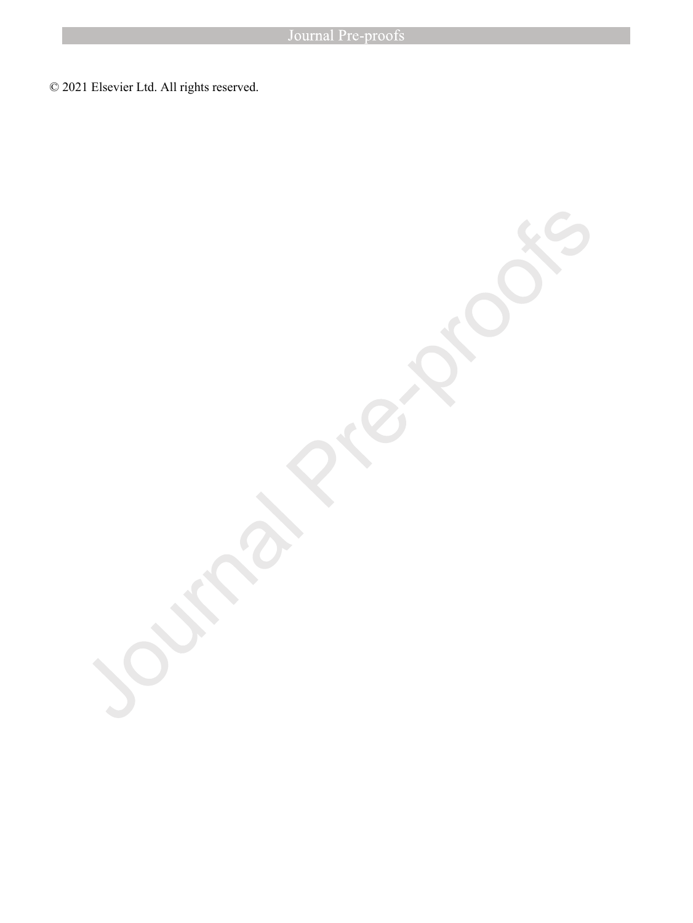© 2021 Elsevier Ltd. All rights reserved.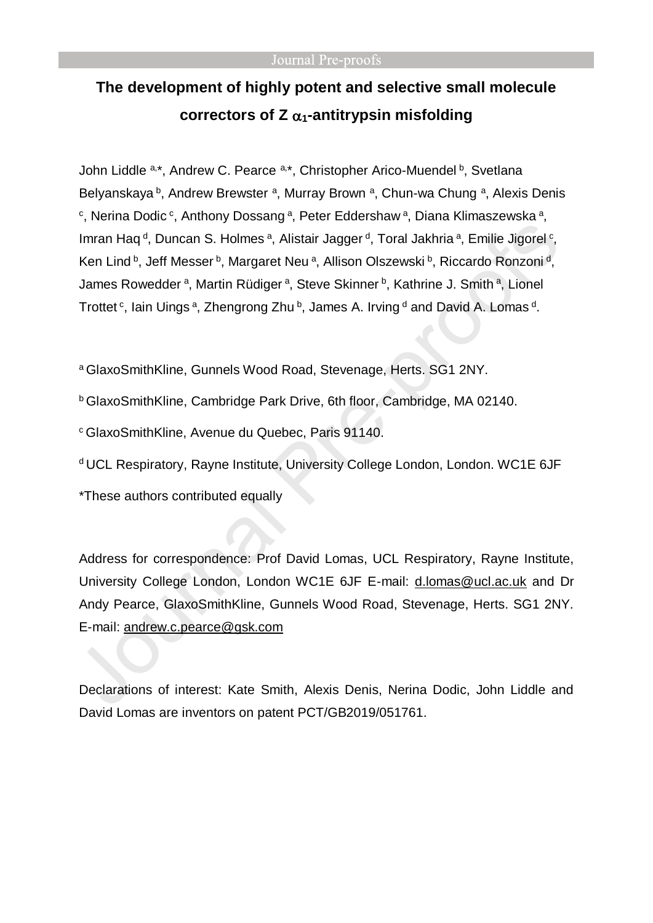# **The development of highly potent and selective small molecule**  correctors of  $Z_{\alpha_1}$ -antitrypsin misfolding

John Liddle <sup>a,\*</sup>, Andrew C. Pearce <sup>a,\*</sup>, Christopher Arico-Muendel <sup>b</sup>, Svetlana Belyanskaya <sup>b</sup>, Andrew Brewster <sup>a</sup>, Murray Brown <sup>a</sup>, Chun-wa Chung <sup>a</sup>, Alexis Denis <sup>c</sup>, Nerina Dodic<sup>c</sup>, Anthony Dossang<sup>a</sup>, Peter Eddershaw<sup>a</sup>, Diana Klimaszewska<sup>a</sup>, Imran Haq<sup>d</sup>, Duncan S. Holmes<sup>a</sup>, Alistair Jagger<sup>d</sup>, Toral Jakhria<sup>a</sup>, Emilie Jigorel<sup>c</sup>, Ken Lind b, Jeff Messer b, Margaret Neu <sup>a</sup>, Allison Olszewski b, Riccardo Ronzoni <sup>d</sup>, James Rowedder<sup>a</sup>, Martin Rüdiger<sup>a</sup>, Steve Skinner<sup>b</sup>, Kathrine J. Smith<sup>a</sup>, Lionel Trottet <sup>c</sup>, Iain Uings <sup>a</sup>, Zhengrong Zhu <sup>b</sup>, James A. Irving <sup>d</sup> and David A. Lomas <sup>d</sup>.

<sup>a</sup> GlaxoSmithKline, Gunnels Wood Road, Stevenage, Herts. SG1 2NY.

<sup>b</sup> GlaxoSmithKline, Cambridge Park Drive, 6th floor, Cambridge, MA 02140.

<sup>c</sup> GlaxoSmithKline, Avenue du Quebec, Paris 91140.

d UCL Respiratory, Rayne Institute, University College London, London. WC1E 6JF

\*These authors contributed equally

Address for correspondence: Prof David Lomas, UCL Respiratory, Rayne Institute, University College London, London WC1E 6JF E-mail: [d.lomas@ucl.ac.uk](mailto:d.lomas@ucl.ac.uk) and Dr Andy Pearce, GlaxoSmithKline, Gunnels Wood Road, Stevenage, Herts. SG1 2NY. E-mail: [andrew.c.pearce@gsk.com](mailto:andrew.c.pearce@gsk.com)

Declarations of interest: Kate Smith, Alexis Denis, Nerina Dodic, John Liddle and David Lomas are inventors on patent PCT/GB2019/051761.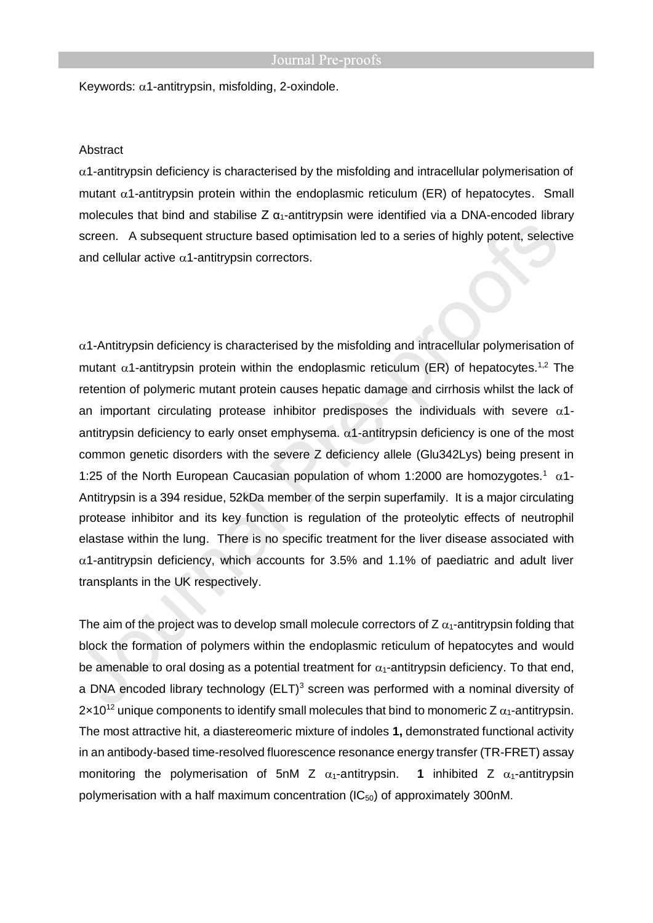Keywords:  $\alpha$ 1-antitrypsin, misfolding, 2-oxindole.

#### Abstract

 $\alpha$ 1-antitrypsin deficiency is characterised by the misfolding and intracellular polymerisation of mutant  $\alpha$ 1-antitrypsin protein within the endoplasmic reticulum (ER) of hepatocytes. Small molecules that bind and stabilise Z  $\alpha_1$ -antitrypsin were identified via a DNA-encoded library screen. A subsequent structure based optimisation led to a series of highly potent, selective and cellular active  $\alpha$ 1-antitrypsin correctors.

 $\alpha$ 1-Antitrypsin deficiency is characterised by the misfolding and intracellular polymerisation of mutant  $\alpha$ 1-antitrypsin protein within the endoplasmic reticulum (ER) of hepatocytes.<sup>1,2</sup> The retention of polymeric mutant protein causes hepatic damage and cirrhosis whilst the lack of an important circulating protease inhibitor predisposes the individuals with severe  $\alpha$ 1antitrypsin deficiency to early onset emphysema.  $\alpha$ 1-antitrypsin deficiency is one of the most common genetic disorders with the severe Z deficiency allele (Glu342Lys) being present in 1:25 of the North European Caucasian population of whom 1:2000 are homozygotes.<sup>1</sup>  $\alpha$ 1-Antitrypsin is a 394 residue, 52kDa member of the serpin superfamily. It is a major circulating protease inhibitor and its key function is regulation of the proteolytic effects of neutrophil elastase within the lung. There is no specific treatment for the liver disease associated with  $\alpha$ 1-antitrypsin deficiency, which accounts for 3.5% and 1.1% of paediatric and adult liver transplants in the UK respectively.

The aim of the project was to develop small molecule correctors of  $Z$   $\alpha_1$ -antitrypsin folding that block the formation of polymers within the endoplasmic reticulum of hepatocytes and would be amenable to oral dosing as a potential treatment for  $\alpha_1$ -antitrypsin deficiency. To that end, a DNA encoded library technology  $(ELT)^3$  screen was performed with a nominal diversity of  $2 \times 10^{12}$  unique components to identify small molecules that bind to monomeric Z  $\alpha_1$ -antitrypsin. The most attractive hit, a diastereomeric mixture of indoles **1,** demonstrated functional activity in an antibody-based time-resolved fluorescence resonance energy transfer (TR-FRET) assay monitoring the polymerisation of 5nM Z  $\alpha_1$ -antitrypsin. **1** inhibited Z  $\alpha_1$ -antitrypsin polymerisation with a half maximum concentration  $(IC_{50})$  of approximately 300nM.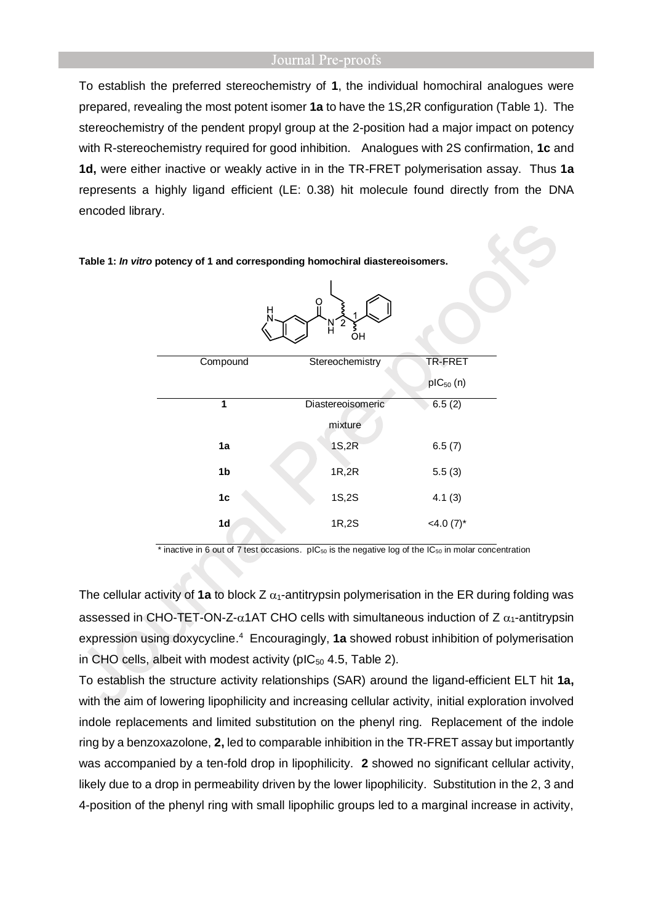To establish the preferred stereochemistry of **1**, the individual homochiral analogues were prepared, revealing the most potent isomer **1a** to have the 1S,2R configuration (Table 1). The stereochemistry of the pendent propyl group at the 2-position had a major impact on potency with R-stereochemistry required for good inhibition. Analogues with 2S confirmation, **1c** and **1d,** were either inactive or weakly active in in the TR-FRET polymerisation assay. Thus **1a** represents a highly ligand efficient (LE: 0.38) hit molecule found directly from the DNA encoded library.

> Compound Stereochemistry TR-FRET pIC<sup>50</sup> (n) **1** Diastereoisomeric mixture  $6.5(2)$ **1a** 1S,2R 6.5 (7) **1b** 1R,2R 5.5 (3) **1c** 1S,2S 4.1 (3) **1d**  $1R.2S$   $\leq 4.0 (7)^{*}$

**Table 1:** *In vitro* **potency of 1 and corresponding homochiral diastereoisomers.**

 $*$  inactive in 6 out of 7 test occasions. pIC<sub>50</sub> is the negative log of the IC<sub>50</sub> in molar concentration

The cellular activity of 1a to block Z  $\alpha_1$ -antitrypsin polymerisation in the ER during folding was assessed in CHO-TET-ON-Z- $\alpha$ 1AT CHO cells with simultaneous induction of Z  $\alpha$ <sub>1</sub>-antitrypsin expression using doxycycline.<sup>4</sup> Encouragingly, 1a showed robust inhibition of polymerisation in CHO cells, albeit with modest activity (pIC $_{50}$  4.5, Table 2).

To establish the structure activity relationships (SAR) around the ligand-efficient ELT hit **1a,** with the aim of lowering lipophilicity and increasing cellular activity, initial exploration involved indole replacements and limited substitution on the phenyl ring. Replacement of the indole ring by a benzoxazolone, **2,** led to comparable inhibition in the TR-FRET assay but importantly was accompanied by a ten-fold drop in lipophilicity. **2** showed no significant cellular activity, likely due to a drop in permeability driven by the lower lipophilicity. Substitution in the 2, 3 and 4-position of the phenyl ring with small lipophilic groups led to a marginal increase in activity,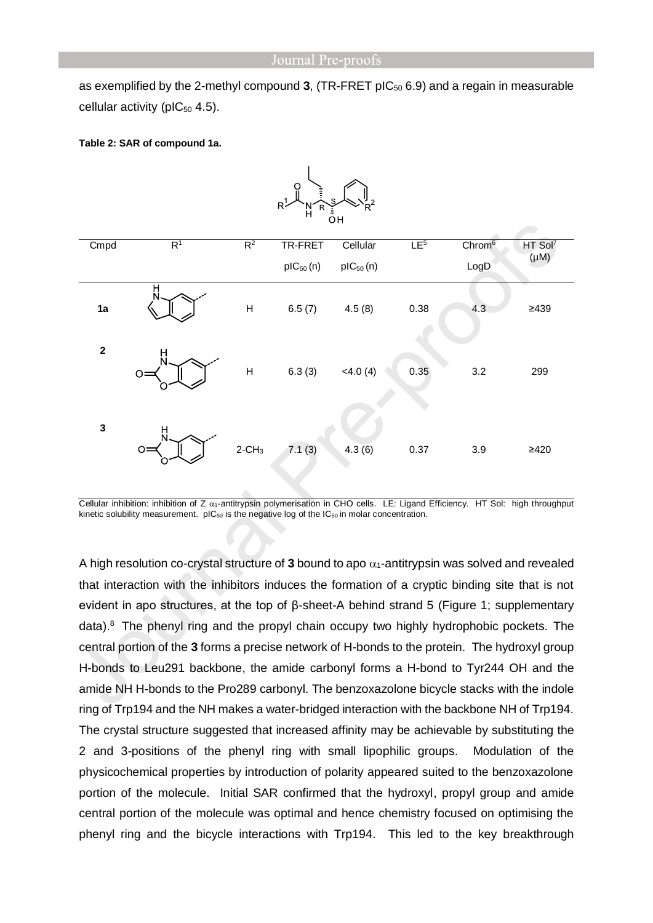as exemplified by the 2-methyl compound 3, (TR-FRET pIC<sub>50</sub> 6.9) and a regain in measurable cellular activity (pI $C_{50}$  4.5).

#### **Table 2: SAR of compound 1a.**

| $R$ $\rightarrow$ $N$ $R$ $\rightarrow$<br>$\sim$ , $\kappa$ ,<br>$\overline{O}H$ |                |                           |                          |                           |                 |                            |                                  |  |
|-----------------------------------------------------------------------------------|----------------|---------------------------|--------------------------|---------------------------|-----------------|----------------------------|----------------------------------|--|
| Cmpd                                                                              | R <sup>1</sup> | $R^2$                     | TR-FRET<br>$pIC_{50}(n)$ | Cellular<br>$pIC_{50}(n)$ | LE <sup>5</sup> | Chrom <sup>6</sup><br>LogD | HT Sol <sup>7</sup><br>$(\mu M)$ |  |
| 1a                                                                                | H              | $\mathsf{H}$              | 6.5(7)                   | 4.5(8)                    | 0.38            | 4.3                        | $\geq$ 439                       |  |
| $\mathbf 2$                                                                       | н              | $\boldsymbol{\mathsf{H}}$ | 6.3(3)                   | <4.0(4)                   | 0.35            | 3.2                        | 299                              |  |
| $\mathbf 3$                                                                       | н<br>$\circ$   | $2$ -CH <sub>3</sub>      | 7.1(3)                   | 4.3(6)                    | 0.37            | 3.9                        | $\geq 420$                       |  |



Cellular inhibition: inhibition of Z  $\alpha_1$ -antitrypsin polymerisation in CHO cells. LE: Ligand Efficiency. HT Sol: high throughput kinetic solubility measurement.  $pIC_{50}$  is the negative log of the  $IC_{50}$  in molar concentration.

A high resolution co-crystal structure of 3 bound to apo  $\alpha_1$ -antitrypsin was solved and revealed that interaction with the inhibitors induces the formation of a cryptic binding site that is not evident in apo structures, at the top of β-sheet-A behind strand 5 (Figure 1; supplementary data). <sup>8</sup> The phenyl ring and the propyl chain occupy two highly hydrophobic pockets. The central portion of the **3** forms a precise network of H-bonds to the protein. The hydroxyl group H-bonds to Leu291 backbone, the amide carbonyl forms a H-bond to Tyr244 OH and the amide NH H-bonds to the Pro289 carbonyl. The benzoxazolone bicycle stacks with the indole ring of Trp194 and the NH makes a water-bridged interaction with the backbone NH of Trp194. The crystal structure suggested that increased affinity may be achievable by substituting the 2 and 3-positions of the phenyl ring with small lipophilic groups. Modulation of the physicochemical properties by introduction of polarity appeared suited to the benzoxazolone portion of the molecule. Initial SAR confirmed that the hydroxyl, propyl group and amide central portion of the molecule was optimal and hence chemistry focused on optimising the phenyl ring and the bicycle interactions with Trp194. This led to the key breakthrough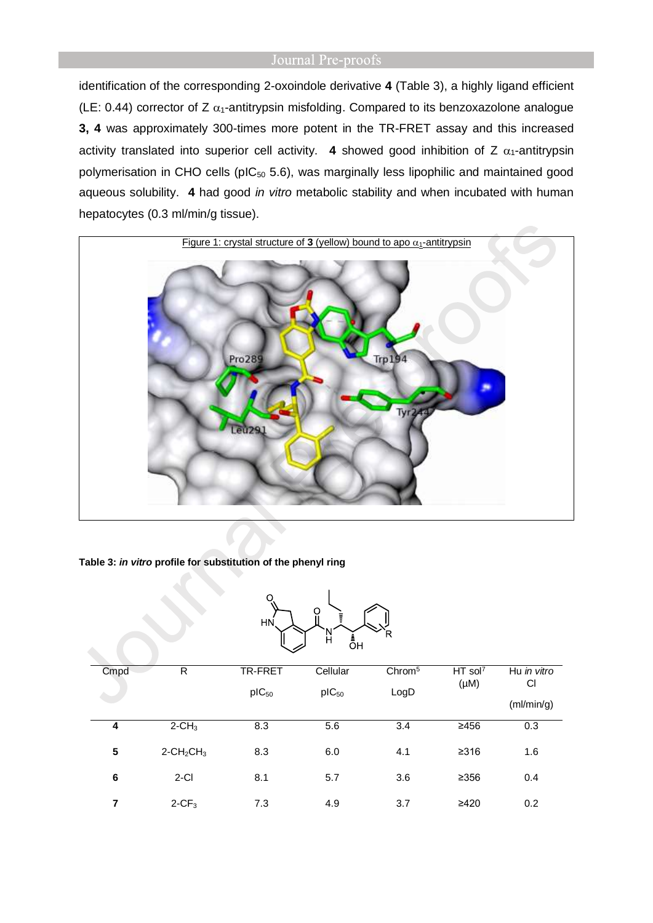identification of the corresponding 2-oxoindole derivative **4** (Table 3), a highly ligand efficient (LE: 0.44) corrector of Z  $\alpha_1$ -antitrypsin misfolding. Compared to its benzoxazolone analogue **3, 4** was approximately 300-times more potent in the TR-FRET assay and this increased activity translated into superior cell activity. **4** showed good inhibition of Z  $\alpha_1$ -antitrypsin polymerisation in CHO cells ( $pIC_{50}$  5.6), was marginally less lipophilic and maintained good aqueous solubility. **4** had good *in vitro* metabolic stability and when incubated with human hepatocytes (0.3 ml/min/g tissue).



**Table 3:** *in vitro* **profile for substitution of the phenyl ring**

| O<br>ŧ<br>HN<br>R<br>Ĥ<br>_<br>ОН |                                      |                |            |                    |                       |             |  |
|-----------------------------------|--------------------------------------|----------------|------------|--------------------|-----------------------|-------------|--|
| Cmpd                              | $\mathsf{R}$                         | <b>TR-FRET</b> | Cellular   | Chrom <sup>5</sup> | $HT$ sol <sup>7</sup> | Hu in vitro |  |
|                                   |                                      | $pIC_{50}$     | $pIC_{50}$ | LogD               | $(\mu M)$             | CI          |  |
|                                   |                                      |                |            |                    |                       | (mI/min/g)  |  |
| 4                                 | $2 - CH3$                            | 8.3            | 5.6        | 3.4                | $\geq 456$            | 0.3         |  |
| 5                                 | $2$ -CH <sub>2</sub> CH <sub>3</sub> | 8.3            | 6.0        | 4.1                | $\geq 316$            | 1.6         |  |
| 6                                 | $2-CI$                               | 8.1            | 5.7        | 3.6                | $\geq$ 356            | 0.4         |  |
| 7                                 | $2-CF3$                              | 7.3            | 4.9        | 3.7                | ≥420                  | 0.2         |  |

 $\overline{\phantom{a}}$ 

 $\Omega$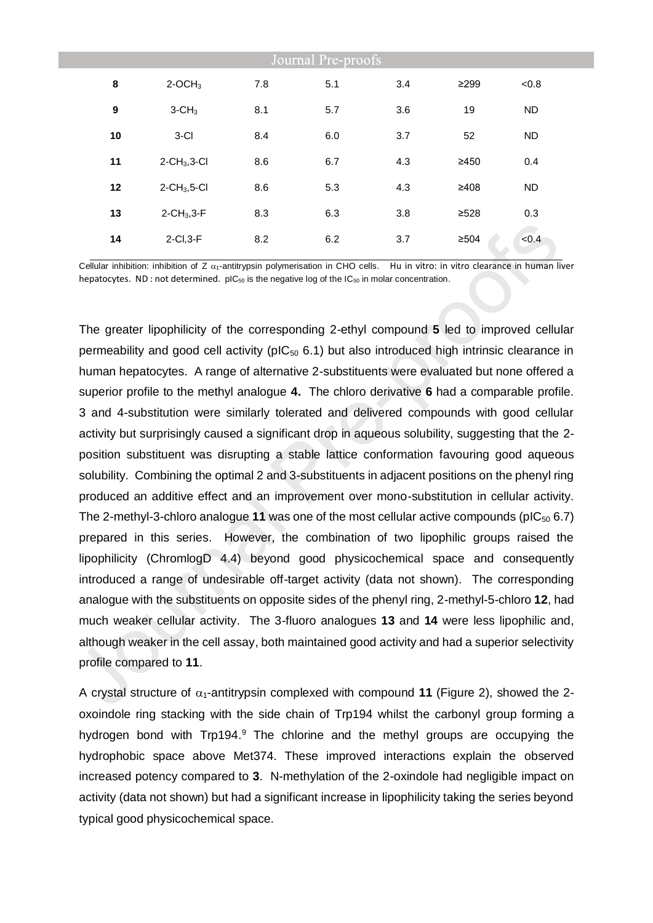| Journal Pre-proofs |                                |     |     |     |            |           |  |
|--------------------|--------------------------------|-----|-----|-----|------------|-----------|--|
| 8                  | $2$ -OCH <sub>3</sub>          | 7.8 | 5.1 | 3.4 | $\geq$ 299 | < 0.8     |  |
| $\boldsymbol{9}$   | $3$ -CH <sub>3</sub>           | 8.1 | 5.7 | 3.6 | 19         | <b>ND</b> |  |
| 10                 | $3-CI$                         | 8.4 | 6.0 | 3.7 | 52         | <b>ND</b> |  |
| 11                 | $2$ -CH <sub>3</sub> , $3$ -Cl | 8.6 | 6.7 | 4.3 | ≥450       | 0.4       |  |
| 12                 | $2$ -CH <sub>3</sub> ,5-Cl     | 8.6 | 5.3 | 4.3 | ≥408       | <b>ND</b> |  |
| 13                 | $2$ -CH <sub>3</sub> , $3$ -F  | 8.3 | 6.3 | 3.8 | ≥528       | 0.3       |  |
| 14                 | $2$ -Cl, $3$ -F                | 8.2 | 6.2 | 3.7 | $\geq 504$ | < 0.4     |  |

Cellular inhibition: inhibition of Z  $\alpha_1$ -antitrypsin polymerisation in CHO cells. Hu in vitro: in vitro clearance in human liver hepatocytes. ND : not determined. pIC<sub>50</sub> is the negative log of the IC<sub>50</sub> in molar concentration.

The greater lipophilicity of the corresponding 2-ethyl compound **5** led to improved cellular permeability and good cell activity ( $pIC_{50}$  6.1) but also introduced high intrinsic clearance in human hepatocytes. A range of alternative 2-substituents were evaluated but none offered a superior profile to the methyl analogue **4.** The chloro derivative **6** had a comparable profile. 3 and 4-substitution were similarly tolerated and delivered compounds with good cellular activity but surprisingly caused a significant drop in aqueous solubility, suggesting that the 2 position substituent was disrupting a stable lattice conformation favouring good aqueous solubility. Combining the optimal 2 and 3-substituents in adjacent positions on the phenyl ring produced an additive effect and an improvement over mono-substitution in cellular activity. The 2-methyl-3-chloro analogue **11** was one of the most cellular active compounds (pIC<sup>50</sup> 6.7) prepared in this series. However, the combination of two lipophilic groups raised the lipophilicity (ChromlogD 4.4) beyond good physicochemical space and consequently introduced a range of undesirable off-target activity (data not shown). The corresponding analogue with the substituents on opposite sides of the phenyl ring, 2-methyl-5-chloro **12**, had much weaker cellular activity. The 3-fluoro analogues **13** and **14** were less lipophilic and, although weaker in the cell assay, both maintained good activity and had a superior selectivity profile compared to **11**.

A crystal structure of  $\alpha_1$ -antitrypsin complexed with compound **11** (Figure 2), showed the 2oxoindole ring stacking with the side chain of Trp194 whilst the carbonyl group forming a hydrogen bond with Trp194.<sup>9</sup> The chlorine and the methyl groups are occupying the hydrophobic space above Met374. These improved interactions explain the observed increased potency compared to **3**. N-methylation of the 2-oxindole had negligible impact on activity (data not shown) but had a significant increase in lipophilicity taking the series beyond typical good physicochemical space.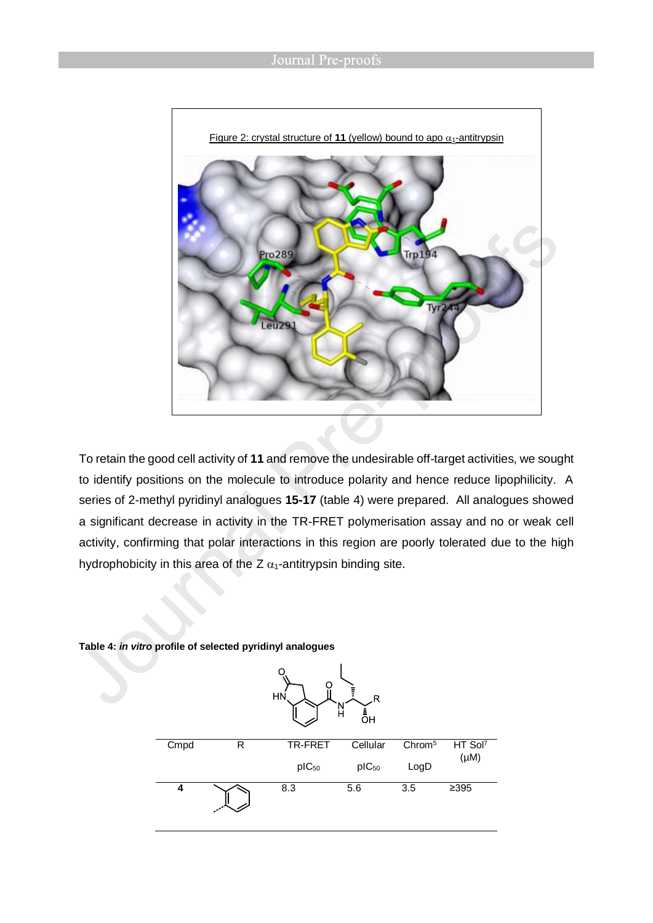![](_page_8_Figure_1.jpeg)

To retain the good cell activity of **11** and remove the undesirable off-target activities, we sought to identify positions on the molecule to introduce polarity and hence reduce lipophilicity. A series of 2-methyl pyridinyl analogues **15-17** (table 4) were prepared. All analogues showed a significant decrease in activity in the TR-FRET polymerisation assay and no or weak cell activity, confirming that polar interactions in this region are poorly tolerated due to the high hydrophobicity in this area of the Z  $\alpha_1$ -antitrypsin binding site.

![](_page_8_Figure_3.jpeg)

#### **Table 4:** *in vitro* **profile of selected pyridinyl analogues**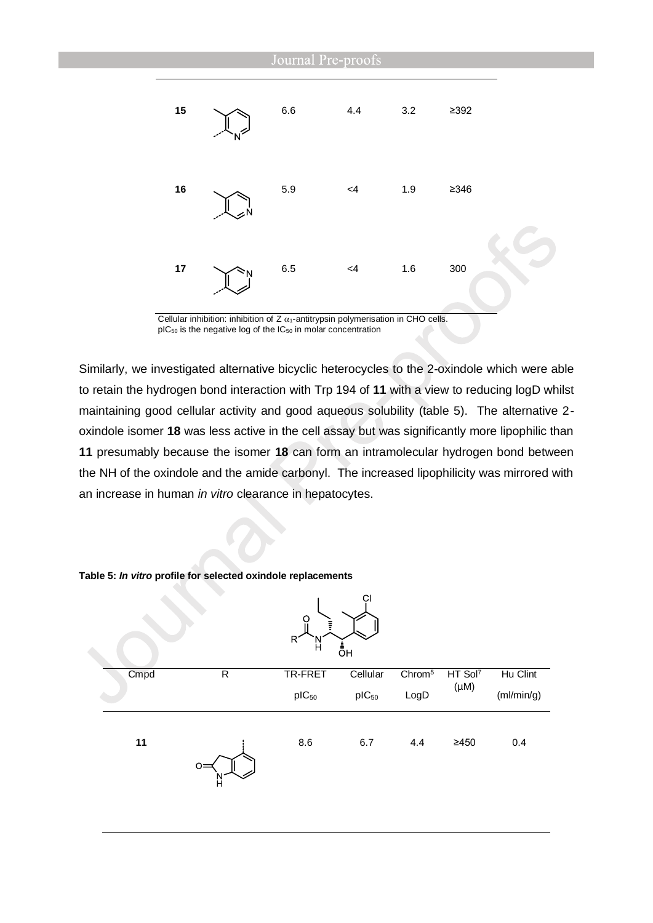![](_page_9_Figure_0.jpeg)

Cellular inhibition: inhibition of  $Z$   $\alpha_1$ -antitrypsin polymerisation in CHO cells.  $pIC_{50}$  is the negative log of the  $IC_{50}$  in molar concentration

Similarly, we investigated alternative bicyclic heterocycles to the 2-oxindole which were able to retain the hydrogen bond interaction with Trp 194 of **11** with a view to reducing logD whilst maintaining good cellular activity and good aqueous solubility (table 5). The alternative 2 oxindole isomer **18** was less active in the cell assay but was significantly more lipophilic than **11** presumably because the isomer **18** can form an intramolecular hydrogen bond between the NH of the oxindole and the amide carbonyl. The increased lipophilicity was mirrored with an increase in human *in vitro* clearance in hepatocytes.

|      | v            | Ö<br>Ξ<br>R.<br>H | СI<br>_<br>ОН |                    |                     |            |
|------|--------------|-------------------|---------------|--------------------|---------------------|------------|
| Cmpd | $\mathsf{R}$ | TR-FRET           | Cellular      | Chrom <sup>5</sup> | HT Sol <sup>7</sup> | Hu Clint   |
|      |              | $pIC_{50}$        | $pIC_{50}$    | LogD               | $(\mu M)$           | (mI/min/g) |
| 11   | O<br>H       | 8.6               | 6.7           | 4.4                | $\geq 450$          | 0.4        |

**Table 5:** *In vitro* **profile for selected oxindole replacements**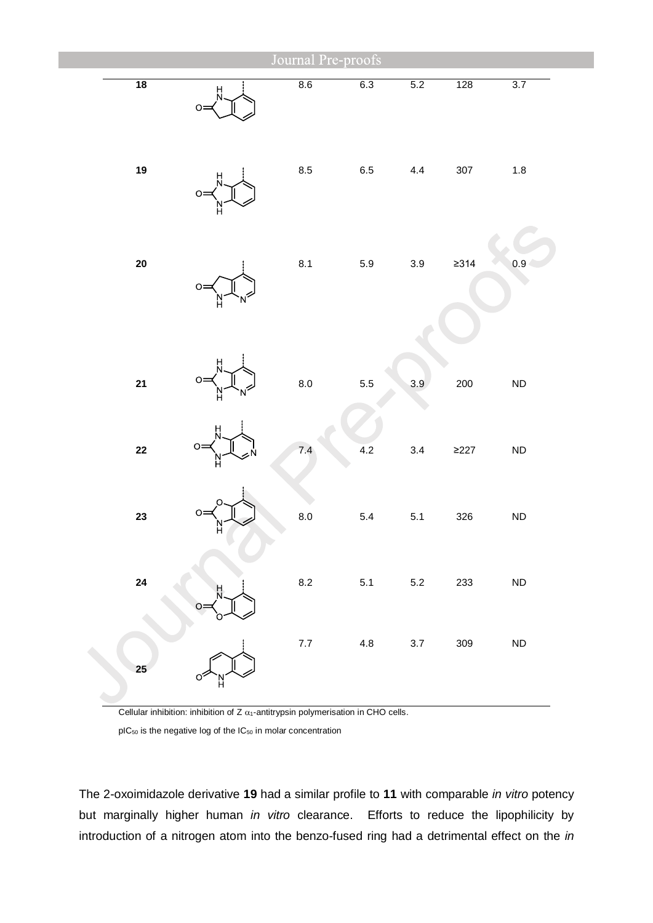|            |         | Journal Pre-proofs |         |         |            |                  |
|------------|---------|--------------------|---------|---------|------------|------------------|
| 18         | H<br>Ö  | 8.6                | 6.3     | 5.2     | 128        | 3.7              |
| 19         | $\circ$ | $\bf 8.5$          | 6.5     | $4.4\,$ | 307        | $1.8\,$          |
| ${\bf 20}$ | O       | 8.1                | $5.9\,$ | $3.9\,$ | $\geq$ 314 | 0.9 <sub>1</sub> |
| 21         | $\circ$ | 8.0                | 5.5     | 3.9     | 200        | ND               |
| $22$       | O       | 7.4                | 4.2     | 3.4     | $\geq$ 227 | ${\sf ND}$       |
| 23         | O       | 8.0                | $5.4\,$ | $5.1$   | 326        | ${\sf ND}$       |
| 24         |         | 8.2                | 5.1     | 5.2     | 233        | ${\sf ND}$       |
| 25         |         | 7.7                | 4.8     | 3.7     | 309        | ND               |

Cellular inhibition: inhibition of  $Z$   $\alpha_1$ -antitrypsin polymerisation in CHO cells.

pIC<sub>50</sub> is the negative log of the IC<sub>50</sub> in molar concentration

The 2-oxoimidazole derivative **19** had a similar profile to **11** with comparable *in vitro* potency but marginally higher human *in vitro* clearance. Efforts to reduce the lipophilicity by introduction of a nitrogen atom into the benzo-fused ring had a detrimental effect on the *in*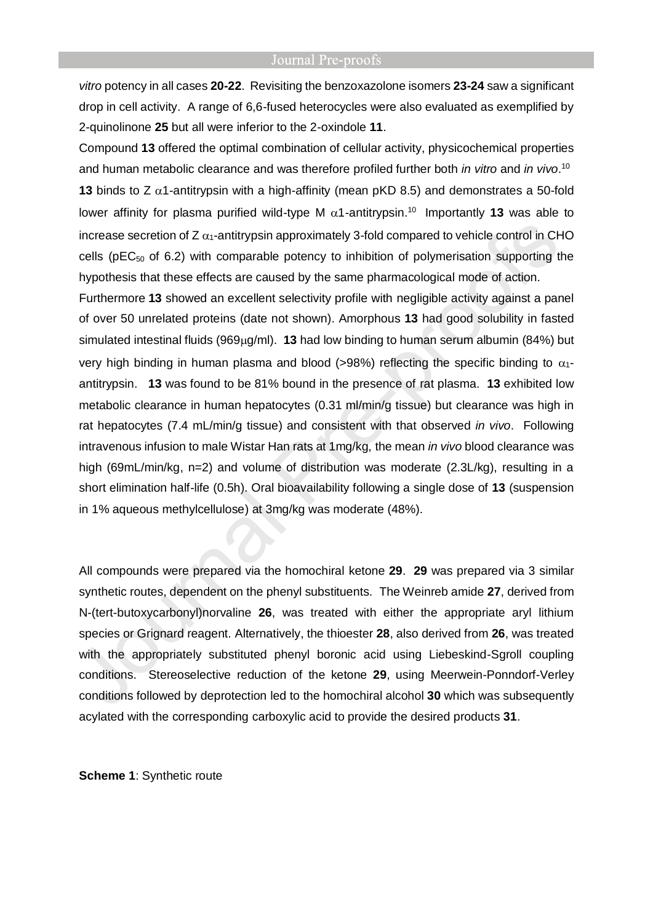*vitro* potency in all cases **20-22**. Revisiting the benzoxazolone isomers **23-24** saw a significant drop in cell activity. A range of 6,6-fused heterocycles were also evaluated as exemplified by 2-quinolinone **25** but all were inferior to the 2-oxindole **11**.

Compound **13** offered the optimal combination of cellular activity, physicochemical properties and human metabolic clearance and was therefore profiled further both *in vitro* and *in vivo*. 10 **13** binds to Z  $\alpha$ 1-antitrypsin with a high-affinity (mean pKD 8.5) and demonstrates a 50-fold lower affinity for plasma purified wild-type M  $\alpha$ 1-antitrypsin.<sup>10</sup> Importantly 13 was able to increase secretion of  $Z \alpha_1$ -antitrypsin approximately 3-fold compared to vehicle control in CHO cells ( $pEC_{50}$  of 6.2) with comparable potency to inhibition of polymerisation supporting the hypothesis that these effects are caused by the same pharmacological mode of action.

Furthermore **13** showed an excellent selectivity profile with negligible activity against a panel of over 50 unrelated proteins (date not shown). Amorphous **13** had good solubility in fasted simulated intestinal fluids (969μg/ml). **13** had low binding to human serum albumin (84%) but very high binding in human plasma and blood (>98%) reflecting the specific binding to  $\alpha_1$ antitrypsin. **13** was found to be 81% bound in the presence of rat plasma. **13** exhibited low metabolic clearance in human hepatocytes (0.31 ml/min/g tissue) but clearance was high in rat hepatocytes (7.4 mL/min/g tissue) and consistent with that observed *in vivo*. Following intravenous infusion to male Wistar Han rats at 1mg/kg, the mean *in vivo* blood clearance was high (69mL/min/kg, n=2) and volume of distribution was moderate (2.3L/kg), resulting in a short elimination half-life (0.5h). Oral bioavailability following a single dose of **13** (suspension in 1% aqueous methylcellulose) at 3mg/kg was moderate (48%).

All compounds were prepared via the homochiral ketone **29**. **29** was prepared via 3 similar synthetic routes, dependent on the phenyl substituents. The Weinreb amide **27**, derived from N-(tert-butoxycarbonyl)norvaline **26**, was treated with either the appropriate aryl lithium species or Grignard reagent. Alternatively, the thioester **28**, also derived from **26**, was treated with the appropriately substituted phenyl boronic acid using Liebeskind-Sgroll coupling conditions. Stereoselective reduction of the ketone **29**, using Meerwein-Ponndorf-Verley conditions followed by deprotection led to the homochiral alcohol **30** which was subsequently acylated with the corresponding carboxylic acid to provide the desired products **31**.

**Scheme 1**: Synthetic route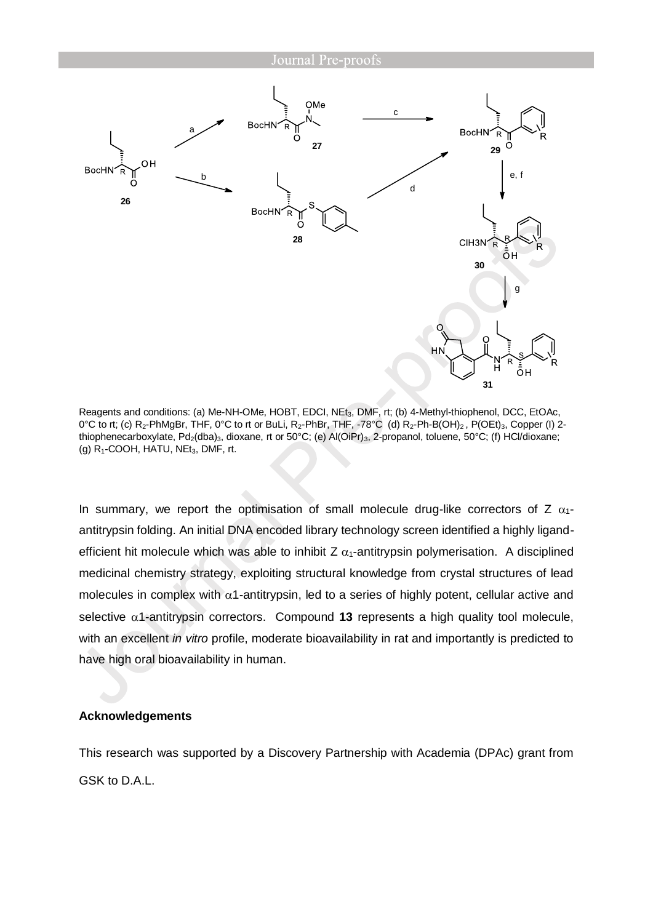![](_page_12_Figure_1.jpeg)

Reagents and conditions: (a) Me-NH-OMe, HOBT, EDCI, NEt3, DMF, rt; (b) 4-Methyl-thiophenol, DCC, EtOAc, 0°C to rt; (c) R<sub>2</sub>-PhMgBr, THF, 0°C to rt or BuLi, R<sub>2</sub>-PhBr, THF, -78°C (d) R<sub>2</sub>-Ph-B(OH)<sub>2</sub>, P(OEt)<sub>3</sub>, Copper (I) 2thiophenecarboxylate, Pd<sub>2</sub>(dba)<sub>3</sub>, dioxane, rt or 50°C; (e) Al(OiPr)<sub>3</sub>, 2-propanol, toluene, 50°C; (f) HCl/dioxane; (g)  $R_1$ -COOH, HATU, NE $t_3$ , DMF, rt.

In summary, we report the optimisation of small molecule drug-like correctors of Z  $\alpha_1$ antitrypsin folding. An initial DNA encoded library technology screen identified a highly ligandefficient hit molecule which was able to inhibit Z  $\alpha_1$ -antitrypsin polymerisation. A disciplined medicinal chemistry strategy, exploiting structural knowledge from crystal structures of lead molecules in complex with  $\alpha$ 1-antitrypsin, led to a series of highly potent, cellular active and selective  $\alpha$ 1-antitrypsin correctors. Compound **13** represents a high quality tool molecule, with an excellent *in vitro* profile, moderate bioavailability in rat and importantly is predicted to have high oral bioavailability in human.

# **Acknowledgements**

This research was supported by a Discovery Partnership with Academia (DPAc) grant from GSK to D.A.L.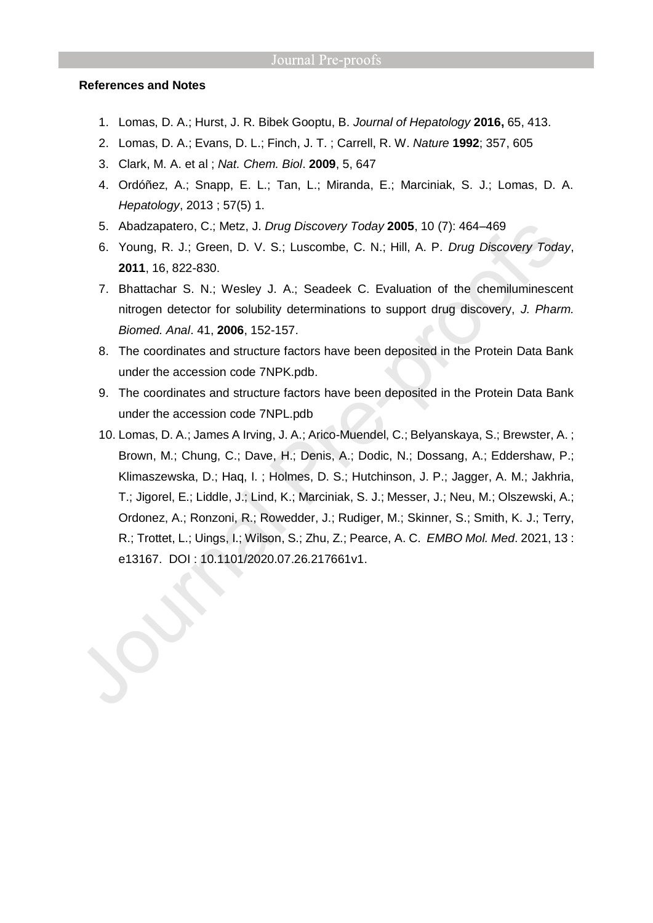### **References and Notes**

- 1. Lomas, D. A.; Hurst, J. R. Bibek Gooptu, B. *Journal of Hepatology* **2016,** 65, 413.
- 2. Lomas, D. A.; Evans, D. L.; Finch, J. T. ; Carrell, R. W. *Nature* **1992**; 357, 605
- 3. Clark, M. A. et al ; *Nat. Chem. Biol*. **2009**, 5, 647
- 4. Ordóñez, A.; Snapp, E. L.; Tan, L.; Miranda, E.; Marciniak, S. J.; Lomas, D. A. *Hepatology*, 2013 ; 57(5) 1.
- 5. Abadzapatero, C.; Metz, J. *Drug Discovery Today* **2005**, 10 (7): 464–469
- 6. Young, R. J.; Green, D. V. S.; Luscombe, C. N.; Hill, A. P. *Drug Discovery Today*, **2011**, 16, 822-830.
- 7. Bhattachar S. N.; Wesley J. A.; Seadeek C. Evaluation of the chemiluminescent nitrogen detector for solubility determinations to support drug discovery, *J. Pharm. Biomed. Anal*. 41, **2006**, 152-157.
- 8. The coordinates and structure factors have been deposited in the Protein Data Bank under the accession code 7NPK.pdb.
- 9. The coordinates and structure factors have been deposited in the Protein Data Bank under the accession code 7NPL.pdb
- 10. Lomas, D. A.; James A Irving, J. A.; Arico-Muendel, C.; Belyanskaya, S.; Brewster, A. ; Brown, M.; Chung, C.; Dave, H.; Denis, A.; Dodic, N.; Dossang, A.; Eddershaw, P.; Klimaszewska, D.; Haq, I. ; Holmes, D. S.; Hutchinson, J. P.; Jagger, A. M.; Jakhria, T.; Jigorel, E.; Liddle, J.; Lind, K.; Marciniak, S. J.; Messer, J.; Neu, M.; Olszewski, A.; Ordonez, A.; Ronzoni, R.; Rowedder, J.; Rudiger, M.; Skinner, S.; Smith, K. J.; Terry, R.; Trottet, L.; Uings, I.; Wilson, S.; Zhu, Z.; Pearce, A. C. *EMBO Mol. Med*. 2021, 13 : e13167. DOI : 10.1101/2020.07.26.217661v1.